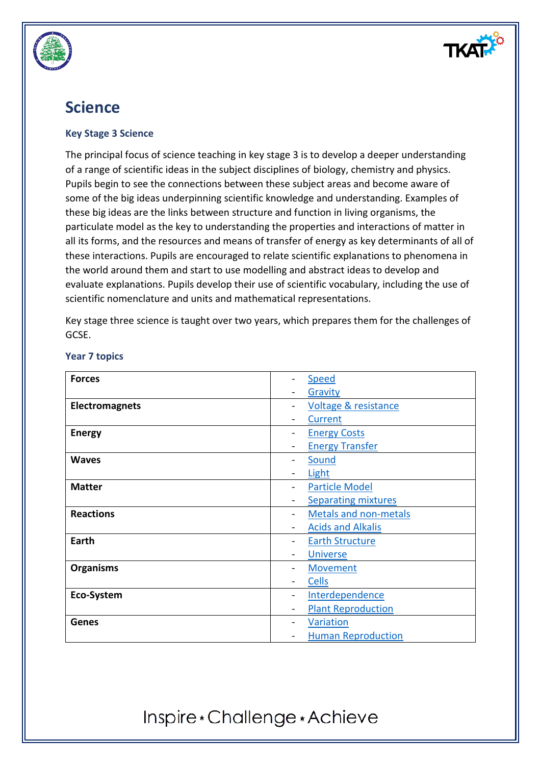

## **Science**

### **Key Stage 3 Science**

The principal focus of science teaching in key stage 3 is to develop a deeper understanding of a range of scientific ideas in the subject disciplines of biology, chemistry and physics. Pupils begin to see the connections between these subject areas and become aware of some of the big ideas underpinning scientific knowledge and understanding. Examples of these big ideas are the links between structure and function in living organisms, the particulate model as the key to understanding the properties and interactions of matter in all its forms, and the resources and means of transfer of energy as key determinants of all of these interactions. Pupils are encouraged to relate scientific explanations to phenomena in the world around them and start to use modelling and abstract ideas to develop and evaluate explanations. Pupils develop their use of scientific vocabulary, including the use of scientific nomenclature and units and mathematical representations.

Key stage three science is taught over two years, which prepares them for the challenges of GCSE.

| <b>Forces</b>         | <b>Speed</b>                                          |
|-----------------------|-------------------------------------------------------|
|                       | Gravity                                               |
| <b>Electromagnets</b> | <b>Voltage &amp; resistance</b>                       |
|                       | <b>Current</b>                                        |
| <b>Energy</b>         | <b>Energy Costs</b>                                   |
|                       | <b>Energy Transfer</b>                                |
| <b>Waves</b>          | Sound<br>-                                            |
|                       | Light                                                 |
| <b>Matter</b>         | <b>Particle Model</b><br>$\qquad \qquad \blacksquare$ |
|                       | <b>Separating mixtures</b>                            |
| <b>Reactions</b>      | <b>Metals and non-metals</b>                          |
|                       | <b>Acids and Alkalis</b>                              |
| Earth                 | <b>Earth Structure</b>                                |
|                       | <b>Universe</b>                                       |
| <b>Organisms</b>      | <b>Movement</b>                                       |
|                       | <b>Cells</b>                                          |
| Eco-System            | Interdependence                                       |
|                       | <b>Plant Reproduction</b>                             |
| <b>Genes</b>          | Variation                                             |
|                       | <b>Human Reproduction</b>                             |

### **Year 7 topics**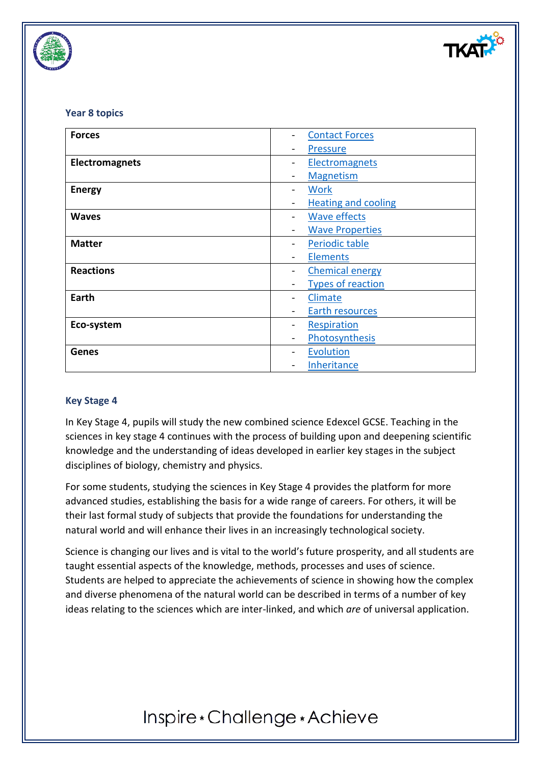

### **Year 8 topics**

| <b>Forces</b>         | <b>Contact Forces</b>      |
|-----------------------|----------------------------|
|                       | <b>Pressure</b>            |
| <b>Electromagnets</b> | Electromagnets             |
|                       | <b>Magnetism</b>           |
| <b>Energy</b>         | <b>Work</b>                |
|                       | <b>Heating and cooling</b> |
| <b>Waves</b>          | <b>Wave effects</b>        |
|                       | <b>Wave Properties</b>     |
| <b>Matter</b>         | Periodic table             |
|                       | <b>Elements</b>            |
| <b>Reactions</b>      | <b>Chemical energy</b>     |
|                       | <b>Types of reaction</b>   |
| Earth                 | <b>Climate</b>             |
|                       | Earth resources            |
| Eco-system            | Respiration                |
|                       | Photosynthesis             |
| <b>Genes</b>          | <b>Evolution</b>           |
|                       | <b>Inheritance</b>         |

### **Key Stage 4**

In Key Stage 4, pupils will study the new combined science Edexcel GCSE. Teaching in the sciences in key stage 4 continues with the process of building upon and deepening scientific knowledge and the understanding of ideas developed in earlier key stages in the subject disciplines of biology, chemistry and physics.

For some students, studying the sciences in Key Stage 4 provides the platform for more advanced studies, establishing the basis for a wide range of careers. For others, it will be their last formal study of subjects that provide the foundations for understanding the natural world and will enhance their lives in an increasingly technological society.

Science is changing our lives and is vital to the world's future prosperity, and all students are taught essential aspects of the knowledge, methods, processes and uses of science. Students are helped to appreciate the achievements of science in showing how the complex and diverse phenomena of the natural world can be described in terms of a number of key ideas relating to the sciences which are inter-linked, and which *are* of universal application.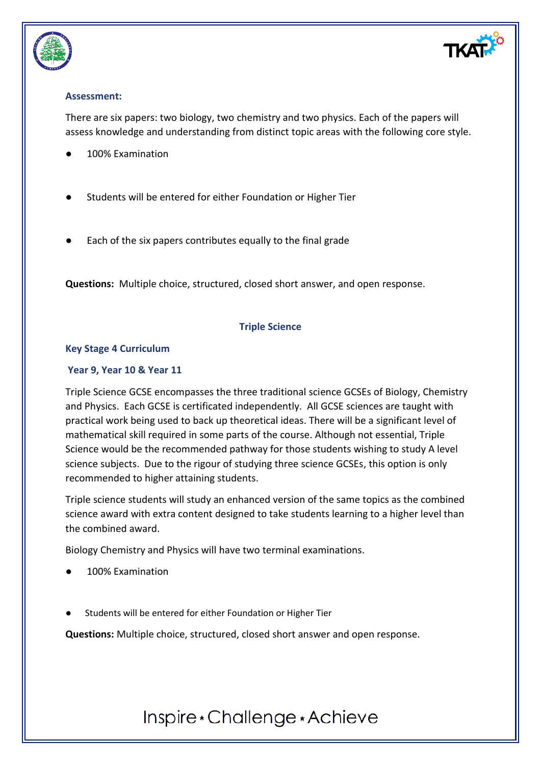



## **Assessment:**

There are six papers: two biology, two chemistry and two physics. Each of the papers will assess knowledge and understanding from distinct topic areas with the following core style.

- 100% Examination
- Students will be entered for either Foundation or Higher Tier
- Each of the six papers contributes equally to the final grade

**Questions:** Multiple choice, structured, closed short answer, and open response.

## **Triple Science**

### **Key Stage 4 Curriculum**

### **Year 9, Year 10 & Year 11**

Triple Science GCSE encompasses the three traditional science GCSEs of Biology, Chemistry and Physics. Each GCSE is certificated independently. All GCSE sciences are taught with practical work being used to back up theoretical ideas. There will be a significant level of mathematical skill required in some parts of the course. Although not essential, Triple Science would be the recommended pathway for those students wishing to study A level science subjects. Due to the rigour of studying three science GCSEs, this option is only recommended to higher attaining students.

Triple science students will study an enhanced version of the same topics as the combined science award with extra content designed to take students learning to a higher level than the combined award.

Biology Chemistry and Physics will have two terminal examinations.

- 100% Examination
- Students will be entered for either Foundation or Higher Tier

**Questions:** Multiple choice, structured, closed short answer and open response.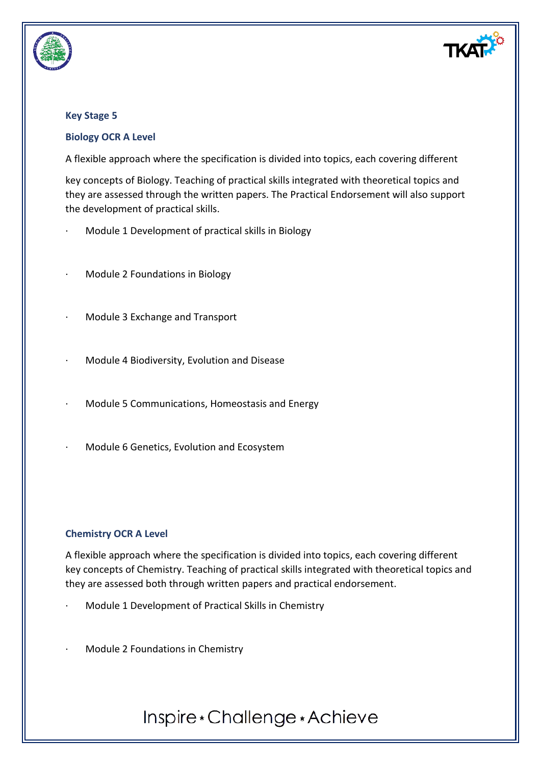

### **Key Stage 5**

### **Biology OCR A Level**

A flexible approach where the specification is divided into topics, each covering different

key concepts of Biology. Teaching of practical skills integrated with theoretical topics and they are assessed through the written papers. The Practical Endorsement will also support the development of practical skills.

- Module 1 Development of practical skills in Biology
- · Module 2 Foundations in Biology
- · Module 3 Exchange and Transport
- · Module 4 Biodiversity, Evolution and Disease
- Module 5 Communications, Homeostasis and Energy
- · Module 6 Genetics, Evolution and Ecosystem

### **Chemistry OCR A Level**

A flexible approach where the specification is divided into topics, each covering different key concepts of Chemistry. Teaching of practical skills integrated with theoretical topics and they are assessed both through written papers and practical endorsement.

- Module 1 Development of Practical Skills in Chemistry
- Module 2 Foundations in Chemistry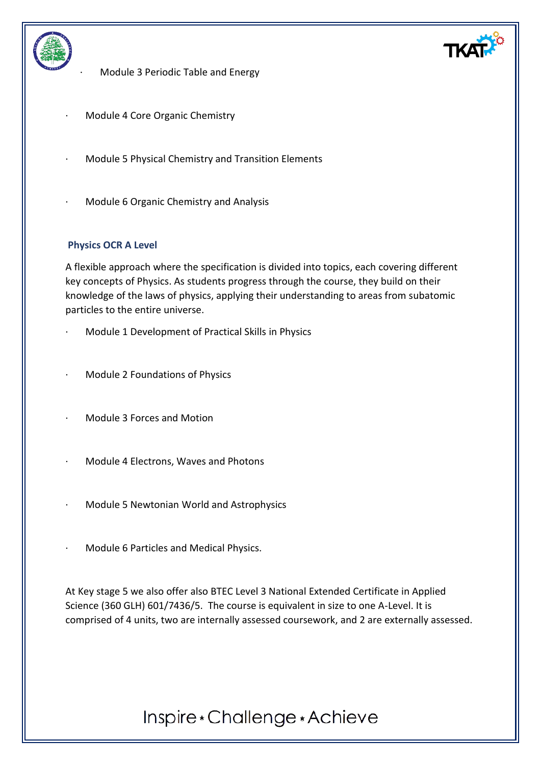

· Module 3 Periodic Table and Energy

- · Module 4 Core Organic Chemistry
- Module 5 Physical Chemistry and Transition Elements
- · Module 6 Organic Chemistry and Analysis

### **Physics OCR A Level**

A flexible approach where the specification is divided into topics, each covering different key concepts of Physics. As students progress through the course, they build on their knowledge of the laws of physics, applying their understanding to areas from subatomic particles to the entire universe.

- Module 1 Development of Practical Skills in Physics
- · Module 2 Foundations of Physics
- · Module 3 Forces and Motion
- · Module 4 Electrons, Waves and Photons
- · Module 5 Newtonian World and Astrophysics
- · Module 6 Particles and Medical Physics.

At Key stage 5 we also offer also BTEC Level 3 National Extended Certificate in Applied Science (360 GLH) 601/7436/5. The course is equivalent in size to one A-Level. It is comprised of 4 units, two are internally assessed coursework, and 2 are externally assessed.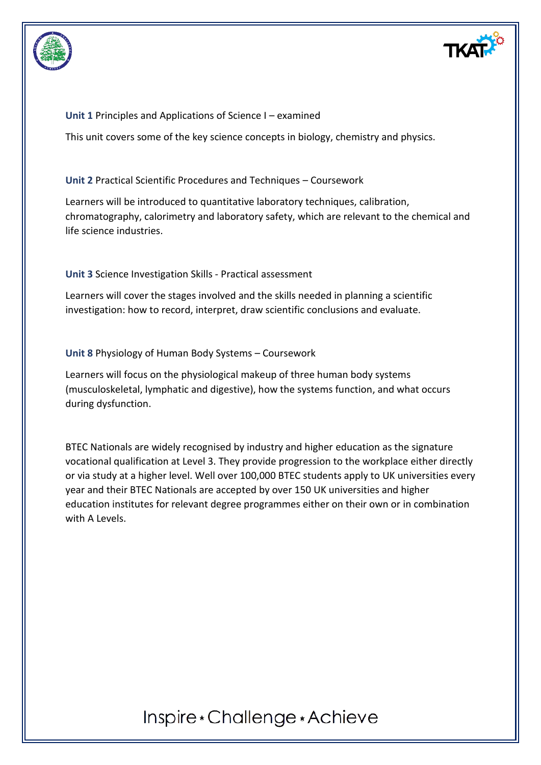



**Unit 1** Principles and Applications of Science I – examined

This unit covers some of the key science concepts in biology, chemistry and physics.

**Unit 2** Practical Scientific Procedures and Techniques – Coursework

Learners will be introduced to quantitative laboratory techniques, calibration, chromatography, calorimetry and laboratory safety, which are relevant to the chemical and life science industries.

**Unit 3** Science Investigation Skills - Practical assessment

Learners will cover the stages involved and the skills needed in planning a scientific investigation: how to record, interpret, draw scientific conclusions and evaluate.

**Unit 8** Physiology of Human Body Systems – Coursework

Learners will focus on the physiological makeup of three human body systems (musculoskeletal, lymphatic and digestive), how the systems function, and what occurs during dysfunction.

BTEC Nationals are widely recognised by industry and higher education as the signature vocational qualification at Level 3. They provide progression to the workplace either directly or via study at a higher level. Well over 100,000 BTEC students apply to UK universities every year and their BTEC Nationals are accepted by over 150 UK universities and higher education institutes for relevant degree programmes either on their own or in combination with A Levels.